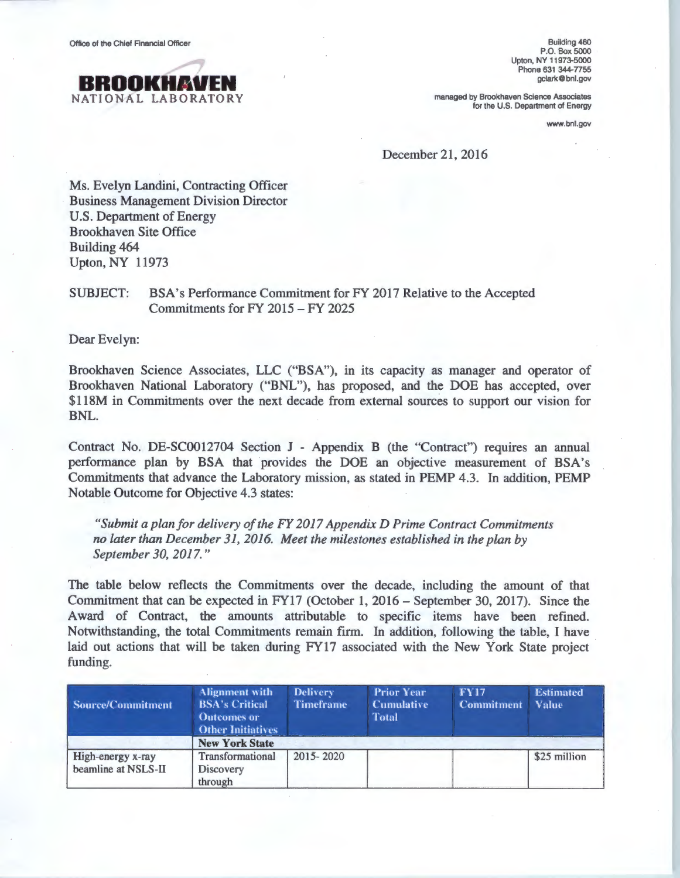

Building 460 P.O. Box 5000 Upton, NY 11973-5000 Phone 631 344-7755 gclark@bnl.gov

managed by Brookhaven Science Associates for the U.S. Department of Energy

www.bnl.gov

December 21, 2016

Ms. Evelyn Landini, Contracting Officer Business Management Division Director U.S. Department of Energy Brookhaven Site Office Building 464 Upton, NY 11973

## SUBJECT: BSA's Performance Commitment for FY 2017 Relative to the Accepted Commitments for FY 2015 - FY 2025

Dear Evelyn:

Brookhaven Science Associates, LLC ("BSA"), in its capacity as manager and operator of Brookhaven National Laboratory ("BNL"), has proposed, and the DOE has accepted, over \$118M in Commitments over the next decade from external sources to support our vision for BNL.

Contract No. DE-SC0012704 Section J - Appendix B (the "Contract") requires an annual performance plan by BSA that provides the DOE an objective measurement of BSA's Commitments that advance the Laboratory mission, as stated in PEMP 4.3. In addition, PEMP Notable Outcome for Objective 4.3 states:

*"Submit a plan for delivery of the FY 2017 Appendix D Prime Contract Commitments no later than December 31, 2016. Meet the milestones established in the plan by September 30, 2017."* 

The table below reflects the Commitments over the decade, including the amount of that Commitment that can be expected in FY17 (October 1, 2016 - September 30, 2017). Since the Award of Contract, the amounts attributable to specific items have been refined. Notwithstanding, the total Commitments remain firm. In addition, following the table, I have laid out actions that will be taken during FY17 associated with the New York State project funding.

| Source/Commitment                        | Alignment with<br><b>BSA's Critical</b><br><b>Outcomes or</b><br><b>Other Initiatives</b> | <b>Delivery</b><br><b>Timeframe</b> | <b>Prior Year</b><br><b>Cumulative</b><br><b>Total</b> | <b>FY17</b><br><b>Commitment</b> | <b>Estimated</b><br><b>Value</b> |
|------------------------------------------|-------------------------------------------------------------------------------------------|-------------------------------------|--------------------------------------------------------|----------------------------------|----------------------------------|
|                                          | <b>New York State</b>                                                                     |                                     |                                                        |                                  |                                  |
| High-energy x-ray<br>beamline at NSLS-II | Transformational<br><b>Discovery</b><br>through                                           | 2015-2020                           |                                                        |                                  | \$25 million                     |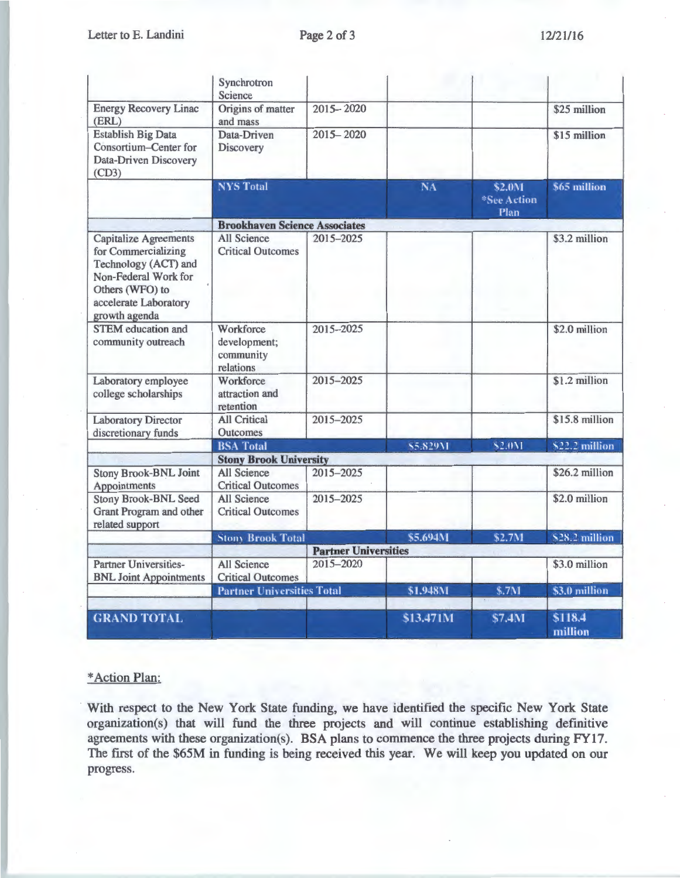|                                                                                                                                                                  | Synchrotron<br>Science                              |           |           |                               |                    |
|------------------------------------------------------------------------------------------------------------------------------------------------------------------|-----------------------------------------------------|-----------|-----------|-------------------------------|--------------------|
| <b>Energy Recovery Linac</b><br>(ERL)                                                                                                                            | Origins of matter<br>and mass                       | 2015-2020 |           |                               | \$25 million       |
| <b>Establish Big Data</b><br>Consortium-Center for<br>Data-Driven Discovery<br>(CD3)                                                                             | Data-Driven<br><b>Discovery</b>                     | 2015-2020 |           |                               | \$15 million       |
|                                                                                                                                                                  | <b>NYS Total</b>                                    |           | <b>NA</b> | \$2.0M<br>*See Action<br>Plan | \$65 million       |
|                                                                                                                                                                  | <b>Brookhaven Science Associates</b>                |           |           |                               |                    |
| <b>Capitalize Agreements</b><br>for Commercializing<br>Technology (ACT) and<br>Non-Federal Work for<br>Others (WFO) to<br>accelerate Laboratory<br>growth agenda | <b>All Science</b><br><b>Critical Outcomes</b>      | 2015-2025 |           |                               | \$3.2 million      |
| <b>STEM</b> education and<br>community outreach                                                                                                                  | Workforce<br>development;<br>community<br>relations | 2015-2025 |           |                               | \$2.0 million      |
| Laboratory employee<br>college scholarships                                                                                                                      | Workforce<br>attraction and<br>retention            | 2015-2025 |           |                               | \$1.2 million      |
| <b>Laboratory Director</b><br>discretionary funds                                                                                                                | <b>All Critical</b><br><b>Outcomes</b>              | 2015-2025 |           |                               | \$15.8 million     |
|                                                                                                                                                                  | <b>BSA Total</b>                                    |           | \$5.829M  | \$2.0M                        | \$22.2 million     |
|                                                                                                                                                                  | <b>Stony Brook University</b>                       |           |           |                               |                    |
| <b>Stony Brook-BNL Joint</b><br>Appointments                                                                                                                     | <b>All Science</b><br><b>Critical Outcomes</b>      | 2015-2025 |           |                               | \$26.2 million     |
| <b>Stony Brook-BNL Seed</b><br>Grant Program and other<br>related support                                                                                        | <b>All Science</b><br><b>Critical Outcomes</b>      | 2015-2025 |           |                               | \$2.0 million      |
|                                                                                                                                                                  | <b>Stony Brook Total</b>                            |           | \$5.694M  | \$2.7M                        | \$28.2 million     |
|                                                                                                                                                                  | <b>Partner Universities</b>                         |           |           |                               |                    |
| <b>Partner Universities-</b><br><b>BNL Joint Appointments</b>                                                                                                    | <b>All Science</b><br><b>Critical Outcomes</b>      | 2015-2020 |           |                               | \$3.0 million      |
|                                                                                                                                                                  | <b>Partner Universities Total</b>                   |           | \$1.948M  | \$.7M                         | \$3.0 million      |
|                                                                                                                                                                  |                                                     |           |           |                               |                    |
| <b>GRAND TOTAL</b>                                                                                                                                               |                                                     |           | \$13.471M | \$7.4M                        | \$118.4<br>million |

## \*Action Plan:

With respect to the New York State funding, we have identified the specific New York State organization(s) that will fund the three projects and will continue establishing definitive agreements with these organization(s). BSA plans to commence the three projects during FY17. The first of the \$65M in funding is being received this year. We will keep you updated on our progress.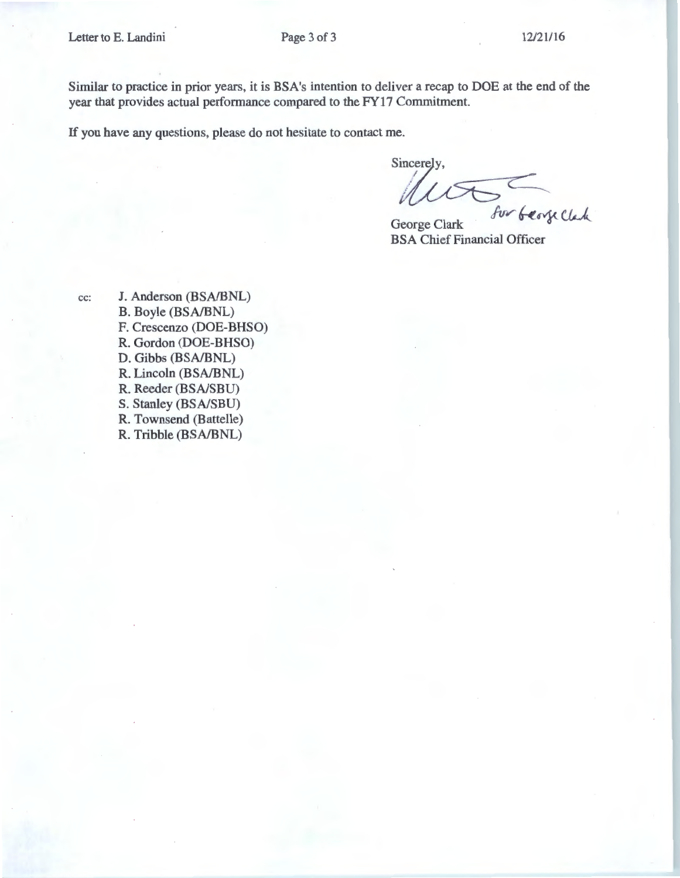Similar to practice in prior years, it is BSA's intention to deliver a recap to DOE at the end of the year that provides actual performance compared to the FY17 Commitment.

If you have any questions, please do not hesitate to contact me.

Sincerely

Alles for beauchen

BSA Chief Financial Officer

cc: J. Anderson (BSA/BNL) B. Boyle (BSA/BNL) F. Crescenzo (DOE-BHSO) R. Gordon (DOE-BHSO) D. Gibbs (BSA/BNL) R. Lincoln (BSA/BNL) R. Reeder (BSA/SBU) S. Stanley (BSA/SBU) R. Townsend (Battelle) R. Tribble (BSA/BNL)